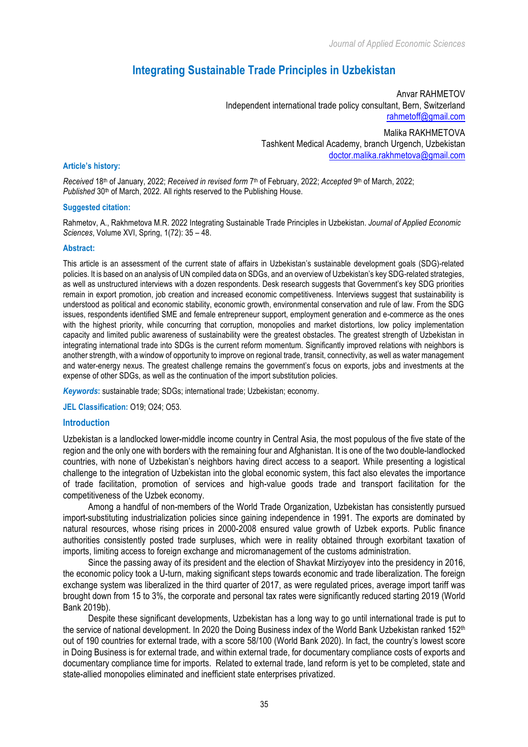# **Integrating Sustainable Trade Principles in Uzbekistan**

Anvar RAHMETOV Independent international trade policy consultant, Bern, Switzerland rahmetoff@gmail.com

> Malika RAKHMETOVA Tashkent Medical Academy, branch Urgench, Uzbekistan doctor.malika.rakhmetova@gmail.com

#### **Article's history:**

*Received* 18th of January, 2022; *Received in revised form* 7th of February, 2022; *Accepted* 9th of March, 2022; *Published* 30<sup>th</sup> of March, 2022. All rights reserved to the Publishing House.

#### **Suggested citation:**

Rahmetov, A., Rakhmetova M.R. 2022 Integrating Sustainable Trade Principles in Uzbekistan. *Journal of Applied Economic Sciences*, Volume XVI, Spring, 1(72): 35 – 48.

#### **Abstract:**

This article is an assessment of the current state of affairs in Uzbekistan's sustainable development goals (SDG)-related policies. It is based on an analysis of UN compiled data on SDGs, and an overview of Uzbekistan's key SDG-related strategies, as well as unstructured interviews with a dozen respondents. Desk research suggests that Government's key SDG priorities remain in export promotion, job creation and increased economic competitiveness. Interviews suggest that sustainability is understood as political and economic stability, economic growth, environmental conservation and rule of law. From the SDG issues, respondents identified SME and female entrepreneur support, employment generation and e-commerce as the ones with the highest priority, while concurring that corruption, monopolies and market distortions, low policy implementation capacity and limited public awareness of sustainability were the greatest obstacles. The greatest strength of Uzbekistan in integrating international trade into SDGs is the current reform momentum. Significantly improved relations with neighbors is another strength, with a window of opportunity to improve on regional trade, transit, connectivity, as well as water management and water-energy nexus. The greatest challenge remains the government's focus on exports, jobs and investments at the expense of other SDGs, as well as the continuation of the import substitution policies.

*Keywords***:** sustainable trade; SDGs; international trade; Uzbekistan; economy.

**JEL Classification:** O19; O24; O53.

#### **Introduction**

Uzbekistan is a landlocked lower-middle income country in Central Asia, the most populous of the five state of the region and the only one with borders with the remaining four and Afghanistan. It is one of the two double-landlocked countries, with none of Uzbekistan's neighbors having direct access to a seaport. While presenting a logistical challenge to the integration of Uzbekistan into the global economic system, this fact also elevates the importance of trade facilitation, promotion of services and high-value goods trade and transport facilitation for the competitiveness of the Uzbek economy.

Among a handful of non-members of the World Trade Organization, Uzbekistan has consistently pursued import-substituting industrialization policies since gaining independence in 1991. The exports are dominated by natural resources, whose rising prices in 2000-2008 ensured value growth of Uzbek exports. Public finance authorities consistently posted trade surpluses, which were in reality obtained through exorbitant taxation of imports, limiting access to foreign exchange and micromanagement of the customs administration.

Since the passing away of its president and the election of Shavkat Mirziyoyev into the presidency in 2016, the economic policy took a U-turn, making significant steps towards economic and trade liberalization. The foreign exchange system was liberalized in the third quarter of 2017, as were regulated prices, average import tariff was brought down from 15 to 3%, the corporate and personal tax rates were significantly reduced starting 2019 (World Bank 2019b).

Despite these significant developments, Uzbekistan has a long way to go until international trade is put to the service of national development. In 2020 the Doing Business index of the World Bank Uzbekistan ranked 152<sup>th</sup> out of 190 countries for external trade, with a score 58/100 (World Bank 2020). In fact, the country's lowest score in Doing Business is for external trade, and within external trade, for documentary compliance costs of exports and documentary compliance time for imports. Related to external trade, land reform is yet to be completed, state and state-allied monopolies eliminated and inefficient state enterprises privatized.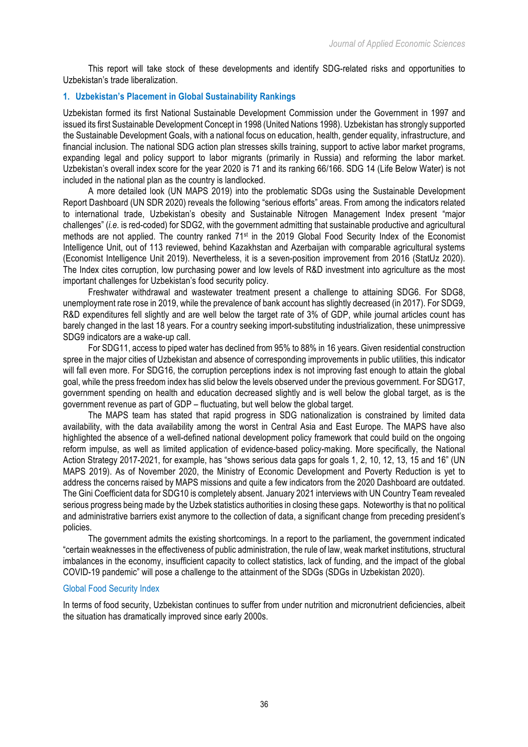This report will take stock of these developments and identify SDG-related risks and opportunities to Uzbekistan's trade liberalization.

# **1. Uzbekistan's Placement in Global Sustainability Rankings**

Uzbekistan formed its first National Sustainable Development Commission under the Government in 1997 and issued its first Sustainable Development Concept in 1998 (United Nations 1998). Uzbekistan has strongly supported the Sustainable Development Goals, with a national focus on education, health, gender equality, infrastructure, and financial inclusion. The national SDG action plan stresses skills training, support to active labor market programs, expanding legal and policy support to labor migrants (primarily in Russia) and reforming the labor market. Uzbekistan's overall index score for the year 2020 is 71 and its ranking 66/166. SDG 14 (Life Below Water) is not included in the national plan as the country is landlocked.

A more detailed look (UN MAPS 2019) into the problematic SDGs using the Sustainable Development Report Dashboard (UN SDR 2020) reveals the following "serious efforts" areas. From among the indicators related to international trade, Uzbekistan's obesity and Sustainable Nitrogen Management Index present "major challenges" (*i.e.* is red-coded) for SDG2, with the government admitting that sustainable productive and agricultural methods are not applied. The country ranked 71<sup>st</sup> in the 2019 Global Food Security Index of the Economist Intelligence Unit, out of 113 reviewed, behind Kazakhstan and Azerbaijan with comparable agricultural systems (Economist Intelligence Unit 2019). Nevertheless, it is a seven-position improvement from 2016 (StatUz 2020). The Index cites corruption, low purchasing power and low levels of R&D investment into agriculture as the most important challenges for Uzbekistan's food security policy.

Freshwater withdrawal and wastewater treatment present a challenge to attaining SDG6. For SDG8, unemployment rate rose in 2019, while the prevalence of bank account has slightly decreased (in 2017). For SDG9, R&D expenditures fell slightly and are well below the target rate of 3% of GDP, while journal articles count has barely changed in the last 18 years. For a country seeking import-substituting industrialization, these unimpressive SDG9 indicators are a wake-up call.

For SDG11, access to piped water has declined from 95% to 88% in 16 years. Given residential construction spree in the major cities of Uzbekistan and absence of corresponding improvements in public utilities, this indicator will fall even more. For SDG16, the corruption perceptions index is not improving fast enough to attain the global goal, while the press freedom index has slid below the levels observed under the previous government. For SDG17, government spending on health and education decreased slightly and is well below the global target, as is the government revenue as part of GDP – fluctuating, but well below the global target.

The MAPS team has stated that rapid progress in SDG nationalization is constrained by limited data availability, with the data availability among the worst in Central Asia and East Europe. The MAPS have also highlighted the absence of a well-defined national development policy framework that could build on the ongoing reform impulse, as well as limited application of evidence-based policy-making. More specifically, the National Action Strategy 2017-2021, for example, has "shows serious data gaps for goals 1, 2, 10, 12, 13, 15 and 16" (UN MAPS 2019). As of November 2020, the Ministry of Economic Development and Poverty Reduction is yet to address the concerns raised by MAPS missions and quite a few indicators from the 2020 Dashboard are outdated. The Gini Coefficient data for SDG10 is completely absent. January 2021 interviews with UN Country Team revealed serious progress being made by the Uzbek statistics authorities in closing these gaps. Noteworthy is that no political and administrative barriers exist anymore to the collection of data, a significant change from preceding president's policies.

The government admits the existing shortcomings. In a report to the parliament, the government indicated "certain weaknesses in the effectiveness of public administration, the rule of law, weak market institutions, structural imbalances in the economy, insufficient capacity to collect statistics, lack of funding, and the impact of the global COVID-19 pandemic" will pose a challenge to the attainment of the SDGs (SDGs in Uzbekistan 2020).

# Global Food Security Index

In terms of food security, Uzbekistan continues to suffer from under nutrition and micronutrient deficiencies, albeit the situation has dramatically improved since early 2000s.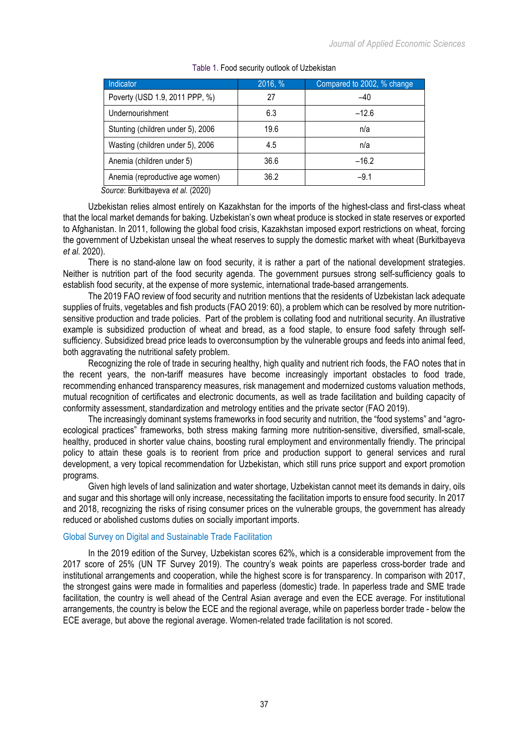| <b>Indicator</b>                  | 2016, % | Compared to 2002, % change |
|-----------------------------------|---------|----------------------------|
| Poverty (USD 1.9, 2011 PPP, %)    | 27      | $-40$                      |
| Undernourishment                  | 6.3     | $-12.6$                    |
| Stunting (children under 5), 2006 | 19.6    | n/a                        |
| Wasting (children under 5), 2006  | 4.5     | n/a                        |
| Anemia (children under 5)         | 36.6    | $-16.2$                    |
| Anemia (reproductive age women)   | 36.2    | $-9.1$                     |

#### Table 1. Food security outlook of Uzbekistan

*Source*: Burkitbayeva *et al.* (2020)

Uzbekistan relies almost entirely on Kazakhstan for the imports of the highest-class and first-class wheat that the local market demands for baking. Uzbekistan's own wheat produce is stocked in state reserves or exported to Afghanistan. In 2011, following the global food crisis, Kazakhstan imposed export restrictions on wheat, forcing the government of Uzbekistan unseal the wheat reserves to supply the domestic market with wheat (Burkitbayeva *et al.* 2020).

There is no stand-alone law on food security, it is rather a part of the national development strategies. Neither is nutrition part of the food security agenda. The government pursues strong self-sufficiency goals to establish food security, at the expense of more systemic, international trade-based arrangements.

The 2019 FAO review of food security and nutrition mentions that the residents of Uzbekistan lack adequate supplies of fruits, vegetables and fish products (FAO 2019: 60), a problem which can be resolved by more nutritionsensitive production and trade policies. Part of the problem is collating food and nutritional security. An illustrative example is subsidized production of wheat and bread, as a food staple, to ensure food safety through selfsufficiency. Subsidized bread price leads to overconsumption by the vulnerable groups and feeds into animal feed, both aggravating the nutritional safety problem.

Recognizing the role of trade in securing healthy, high quality and nutrient rich foods, the FAO notes that in the recent years, the non-tariff measures have become increasingly important obstacles to food trade, recommending enhanced transparency measures, risk management and modernized customs valuation methods, mutual recognition of certificates and electronic documents, as well as trade facilitation and building capacity of conformity assessment, standardization and metrology entities and the private sector (FAO 2019).

The increasingly dominant systems frameworks in food security and nutrition, the "food systems" and "agroecological practices" frameworks, both stress making farming more nutrition-sensitive, diversified, small-scale, healthy, produced in shorter value chains, boosting rural employment and environmentally friendly. The principal policy to attain these goals is to reorient from price and production support to general services and rural development, a very topical recommendation for Uzbekistan, which still runs price support and export promotion programs.

Given high levels of land salinization and water shortage, Uzbekistan cannot meet its demands in dairy, oils and sugar and this shortage will only increase, necessitating the facilitation imports to ensure food security. In 2017 and 2018, recognizing the risks of rising consumer prices on the vulnerable groups, the government has already reduced or abolished customs duties on socially important imports.

### Global Survey on Digital and Sustainable Trade Facilitation

In the 2019 edition of the Survey, Uzbekistan scores 62%, which is a considerable improvement from the 2017 score of 25% (UN TF Survey 2019). The country's weak points are paperless cross-border trade and institutional arrangements and cooperation, while the highest score is for transparency. In comparison with 2017, the strongest gains were made in formalities and paperless (domestic) trade. In paperless trade and SME trade facilitation, the country is well ahead of the Central Asian average and even the ECE average. For institutional arrangements, the country is below the ECE and the regional average, while on paperless border trade - below the ECE average, but above the regional average. Women-related trade facilitation is not scored.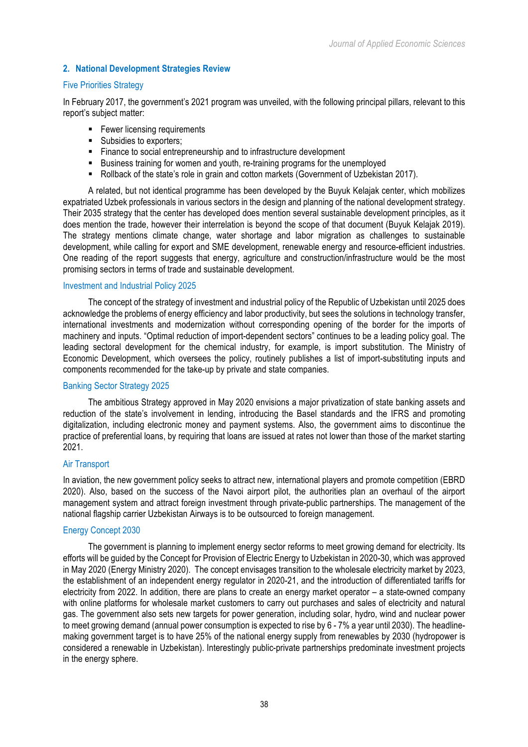# **2. National Development Strategies Review**

## Five Priorities Strategy

In February 2017, the government's 2021 program was unveiled, with the following principal pillars, relevant to this report's subject matter:

- Fewer licensing requirements
- Subsidies to exporters;
- Finance to social entrepreneurship and to infrastructure development
- § Business training for women and youth, re-training programs for the unemployed
- Rollback of the state's role in grain and cotton markets (Government of Uzbekistan 2017).

A related, but not identical programme has been developed by the Buyuk Kelajak center, which mobilizes expatriated Uzbek professionals in various sectors in the design and planning of the national development strategy. Their 2035 strategy that the center has developed does mention several sustainable development principles, as it does mention the trade, however their interrelation is beyond the scope of that document (Buyuk Kelajak 2019). The strategy mentions climate change, water shortage and labor migration as challenges to sustainable development, while calling for export and SME development, renewable energy and resource-efficient industries. One reading of the report suggests that energy, agriculture and construction/infrastructure would be the most promising sectors in terms of trade and sustainable development.

## Investment and Industrial Policy 2025

The concept of the strategy of investment and industrial policy of the Republic of Uzbekistan until 2025 does acknowledge the problems of energy efficiency and labor productivity, but sees the solutions in technology transfer, international investments and modernization without corresponding opening of the border for the imports of machinery and inputs. "Optimal reduction of import-dependent sectors" continues to be a leading policy goal. The leading sectoral development for the chemical industry, for example, is import substitution. The Ministry of Economic Development, which oversees the policy, routinely publishes a list of import-substituting inputs and components recommended for the take-up by private and state companies.

## Banking Sector Strategy 2025

The ambitious Strategy approved in May 2020 envisions a major privatization of state banking assets and reduction of the state's involvement in lending, introducing the Basel standards and the IFRS and promoting digitalization, including electronic money and payment systems. Also, the government aims to discontinue the practice of preferential loans, by requiring that loans are issued at rates not lower than those of the market starting 2021.

### Air Transport

In aviation, the new government policy seeks to attract new, international players and promote competition (EBRD 2020). Also, based on the success of the Navoi airport pilot, the authorities plan an overhaul of the airport management system and attract foreign investment through private-public partnerships. The management of the national flagship carrier Uzbekistan Airways is to be outsourced to foreign management.

### Energy Concept 2030

The government is planning to implement energy sector reforms to meet growing demand for electricity. Its efforts will be guided by the Concept for Provision of Electric Energy to Uzbekistan in 2020-30, which was approved in May 2020 (Energy Ministry 2020). The concept envisages transition to the wholesale electricity market by 2023, the establishment of an independent energy regulator in 2020-21, and the introduction of differentiated tariffs for electricity from 2022. In addition, there are plans to create an energy market operator – a state-owned company with online platforms for wholesale market customers to carry out purchases and sales of electricity and natural gas. The government also sets new targets for power generation, including solar, hydro, wind and nuclear power to meet growing demand (annual power consumption is expected to rise by 6 - 7% a year until 2030). The headlinemaking government target is to have 25% of the national energy supply from renewables by 2030 (hydropower is considered a renewable in Uzbekistan). Interestingly public-private partnerships predominate investment projects in the energy sphere.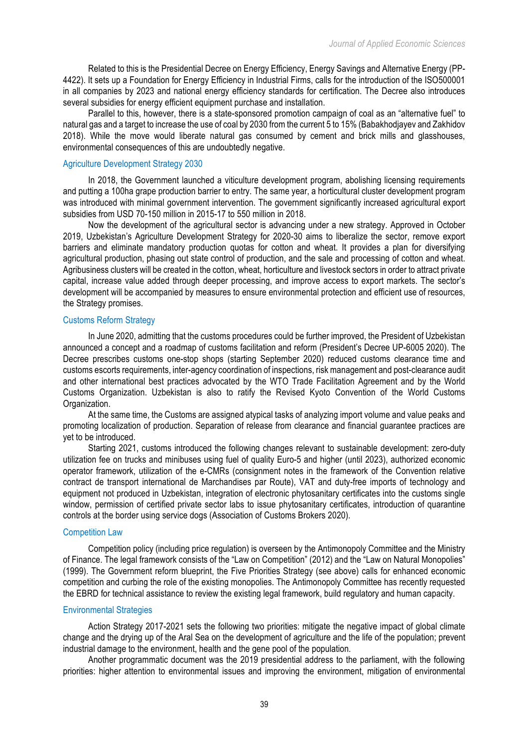Related to this is the Presidential Decree on Energy Efficiency, Energy Savings and Alternative Energy (PP-4422). It sets up a Foundation for Energy Efficiency in Industrial Firms, calls for the introduction of the ISO500001 in all companies by 2023 and national energy efficiency standards for certification. The Decree also introduces several subsidies for energy efficient equipment purchase and installation.

Parallel to this, however, there is a state-sponsored promotion campaign of coal as an "alternative fuel" to natural gas and a target to increase the use of coal by 2030 from the current 5 to 15% (Babakhodjayev and Zakhidov 2018). While the move would liberate natural gas consumed by cement and brick mills and glasshouses, environmental consequences of this are undoubtedly negative.

## Agriculture Development Strategy 2030

In 2018, the Government launched a viticulture development program, abolishing licensing requirements and putting a 100ha grape production barrier to entry. The same year, a horticultural cluster development program was introduced with minimal government intervention. The government significantly increased agricultural export subsidies from USD 70-150 million in 2015-17 to 550 million in 2018.

Now the development of the agricultural sector is advancing under a new strategy. Approved in October 2019, Uzbekistan's Agriculture Development Strategy for 2020-30 aims to liberalize the sector, remove export barriers and eliminate mandatory production quotas for cotton and wheat. It provides a plan for diversifying agricultural production, phasing out state control of production, and the sale and processing of cotton and wheat. Agribusiness clusters will be created in the cotton, wheat, horticulture and livestock sectors in order to attract private capital, increase value added through deeper processing, and improve access to export markets. The sector's development will be accompanied by measures to ensure environmental protection and efficient use of resources, the Strategy promises.

## Customs Reform Strategy

In June 2020, admitting that the customs procedures could be further improved, the President of Uzbekistan announced a concept and a roadmap of customs facilitation and reform (President's Decree UP-6005 2020). The Decree prescribes customs one-stop shops (starting September 2020) reduced customs clearance time and customs escorts requirements, inter-agency coordination of inspections, risk management and post-clearance audit and other international best practices advocated by the WTO Trade Facilitation Agreement and by the World Customs Organization. Uzbekistan is also to ratify the Revised Kyoto Convention of the World Customs Organization.

At the same time, the Customs are assigned atypical tasks of analyzing import volume and value peaks and promoting localization of production. Separation of release from clearance and financial guarantee practices are yet to be introduced.

Starting 2021, customs introduced the following changes relevant to sustainable development: zero-duty utilization fee on trucks and minibuses using fuel of quality Euro-5 and higher (until 2023), authorized economic operator framework, utilization of the e-CMRs (consignment notes in the framework of the Convention relative contract de transport international de Marchandises par Route), VAT and duty-free imports of technology and equipment not produced in Uzbekistan, integration of electronic phytosanitary certificates into the customs single window, permission of certified private sector labs to issue phytosanitary certificates, introduction of quarantine controls at the border using service dogs (Association of Customs Brokers 2020).

### Competition Law

Competition policy (including price regulation) is overseen by the Antimonopoly Committee and the Ministry of Finance. The legal framework consists of the "Law on Competition" (2012) and the "Law on Natural Monopolies" (1999). The Government reform blueprint, the Five Priorities Strategy (see above) calls for enhanced economic competition and curbing the role of the existing monopolies. The Antimonopoly Committee has recently requested the EBRD for technical assistance to review the existing legal framework, build regulatory and human capacity.

### Environmental Strategies

Action Strategy 2017-2021 sets the following two priorities: mitigate the negative impact of global climate change and the drying up of the Aral Sea on the development of agriculture and the life of the population; prevent industrial damage to the environment, health and the gene pool of the population.

Another programmatic document was the 2019 presidential address to the parliament, with the following priorities: higher attention to environmental issues and improving the environment, mitigation of environmental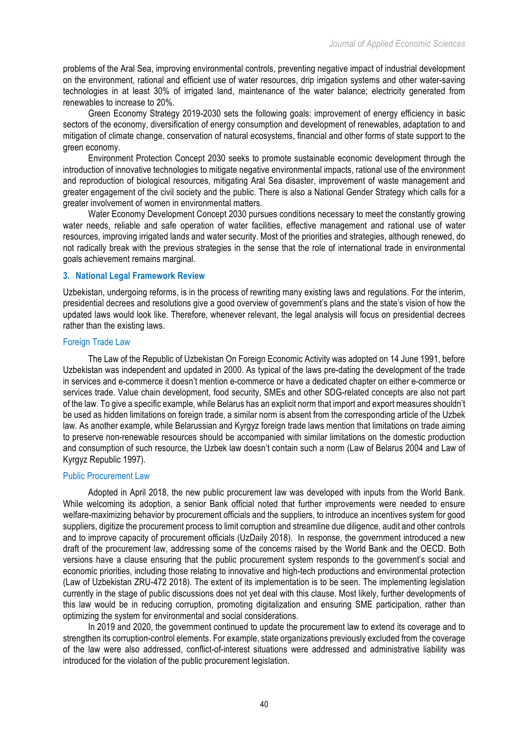problems of the Aral Sea, improving environmental controls, preventing negative impact of industrial development on the environment, rational and efficient use of water resources, drip irrigation systems and other water-saving technologies in at least 30% of irrigated land, maintenance of the water balance; electricity generated from renewables to increase to 20%.

Green Economy Strategy 2019-2030 sets the following goals: improvement of energy efficiency in basic sectors of the economy, diversification of energy consumption and development of renewables, adaptation to and mitigation of climate change, conservation of natural ecosystems, financial and other forms of state support to the green economy.

Environment Protection Concept 2030 seeks to promote sustainable economic development through the introduction of innovative technologies to mitigate negative environmental impacts, rational use of the environment and reproduction of biological resources, mitigating Aral Sea disaster, improvement of waste management and greater engagement of the civil society and the public. There is also a National Gender Strategy which calls for a greater involvement of women in environmental matters.

Water Economy Development Concept 2030 pursues conditions necessary to meet the constantly growing water needs, reliable and safe operation of water facilities, effective management and rational use of water resources, improving irrigated lands and water security. Most of the priorities and strategies, although renewed, do not radically break with the previous strategies in the sense that the role of international trade in environmental goals achievement remains marginal.

## **3. National Legal Framework Review**

Uzbekistan, undergoing reforms, is in the process of rewriting many existing laws and regulations. For the interim, presidential decrees and resolutions give a good overview of government's plans and the state's vision of how the updated laws would look like. Therefore, whenever relevant, the legal analysis will focus on presidential decrees rather than the existing laws.

## Foreign Trade Law

The Law of the Republic of Uzbekistan On Foreign Economic Activity was adopted on 14 June 1991, before Uzbekistan was independent and updated in 2000. As typical of the laws pre-dating the development of the trade in services and e-commerce it doesn't mention e-commerce or have a dedicated chapter on either e-commerce or services trade. Value chain development, food security, SMEs and other SDG-related concepts are also not part of the law. To give a specific example, while Belarus has an explicit norm that import and export measures shouldn't be used as hidden limitations on foreign trade, a similar norm is absent from the corresponding article of the Uzbek law. As another example, while Belarussian and Kyrgyz foreign trade laws mention that limitations on trade aiming to preserve non-renewable resources should be accompanied with similar limitations on the domestic production and consumption of such resource, the Uzbek law doesn't contain such a norm (Law of Belarus 2004 and Law of Kyrgyz Republic 1997).

# Public Procurement Law

Adopted in April 2018, the new public procurement law was developed with inputs from the World Bank. While welcoming its adoption, a senior Bank official noted that further improvements were needed to ensure welfare-maximizing behavior by procurement officials and the suppliers, to introduce an incentives system for good suppliers, digitize the procurement process to limit corruption and streamline due diligence, audit and other controls and to improve capacity of procurement officials (UzDaily 2018). In response, the government introduced a new draft of the procurement law, addressing some of the concerns raised by the World Bank and the OECD. Both versions have a clause ensuring that the public procurement system responds to the government's social and economic priorities, including those relating to innovative and high-tech productions and environmental protection (Law of Uzbekistan ZRU-472 2018). The extent of its implementation is to be seen. The implementing legislation currently in the stage of public discussions does not yet deal with this clause. Most likely, further developments of this law would be in reducing corruption, promoting digitalization and ensuring SME participation, rather than optimizing the system for environmental and social considerations.

In 2019 and 2020, the government continued to update the procurement law to extend its coverage and to strengthen its corruption-control elements. For example, state organizations previously excluded from the coverage of the law were also addressed, conflict-of-interest situations were addressed and administrative liability was introduced for the violation of the public procurement legislation.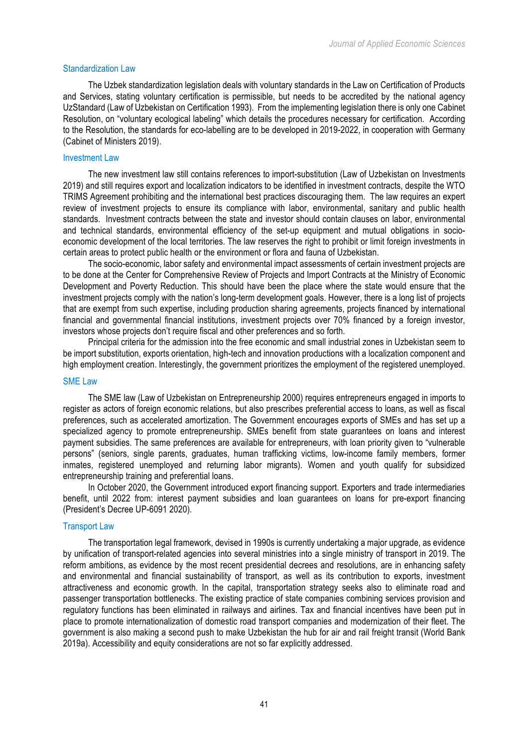## Standardization Law

The Uzbek standardization legislation deals with voluntary standards in the Law on Certification of Products and Services, stating voluntary certification is permissible, but needs to be accredited by the national agency UzStandard (Law of Uzbekistan on Certification 1993). From the implementing legislation there is only one Cabinet Resolution, on "voluntary ecological labeling" which details the procedures necessary for certification. According to the Resolution, the standards for eco-labelling are to be developed in 2019-2022, in cooperation with Germany (Cabinet of Ministers 2019).

## Investment Law

The new investment law still contains references to import-substitution (Law of Uzbekistan on Investments 2019) and still requires export and localization indicators to be identified in investment contracts, despite the WTO TRIMS Agreement prohibiting and the international best practices discouraging them. The law requires an expert review of investment projects to ensure its compliance with labor, environmental, sanitary and public health standards. Investment contracts between the state and investor should contain clauses on labor, environmental and technical standards, environmental efficiency of the set-up equipment and mutual obligations in socioeconomic development of the local territories. The law reserves the right to prohibit or limit foreign investments in certain areas to protect public health or the environment or flora and fauna of Uzbekistan.

The socio-economic, labor safety and environmental impact assessments of certain investment projects are to be done at the Center for Comprehensive Review of Projects and Import Contracts at the Ministry of Economic Development and Poverty Reduction. This should have been the place where the state would ensure that the investment projects comply with the nation's long-term development goals. However, there is a long list of projects that are exempt from such expertise, including production sharing agreements, projects financed by international financial and governmental financial institutions, investment projects over 70% financed by a foreign investor, investors whose projects don't require fiscal and other preferences and so forth.

Principal criteria for the admission into the free economic and small industrial zones in Uzbekistan seem to be import substitution, exports orientation, high-tech and innovation productions with a localization component and high employment creation. Interestingly, the government prioritizes the employment of the registered unemployed.

### SME Law

The SME law (Law of Uzbekistan on Entrepreneurship 2000) requires entrepreneurs engaged in imports to register as actors of foreign economic relations, but also prescribes preferential access to loans, as well as fiscal preferences, such as accelerated amortization. The Government encourages exports of SMEs and has set up a specialized agency to promote entrepreneurship. SMEs benefit from state guarantees on loans and interest payment subsidies. The same preferences are available for entrepreneurs, with loan priority given to "vulnerable persons" (seniors, single parents, graduates, human trafficking victims, low-income family members, former inmates, registered unemployed and returning labor migrants). Women and youth qualify for subsidized entrepreneurship training and preferential loans.

In October 2020, the Government introduced export financing support. Exporters and trade intermediaries benefit, until 2022 from: interest payment subsidies and loan guarantees on loans for pre-export financing (President's Decree UP-6091 2020).

# Transport Law

The transportation legal framework, devised in 1990s is currently undertaking a major upgrade, as evidence by unification of transport-related agencies into several ministries into a single ministry of transport in 2019. The reform ambitions, as evidence by the most recent presidential decrees and resolutions, are in enhancing safety and environmental and financial sustainability of transport, as well as its contribution to exports, investment attractiveness and economic growth. In the capital, transportation strategy seeks also to eliminate road and passenger transportation bottlenecks. The existing practice of state companies combining services provision and regulatory functions has been eliminated in railways and airlines. Tax and financial incentives have been put in place to promote internationalization of domestic road transport companies and modernization of their fleet. The government is also making a second push to make Uzbekistan the hub for air and rail freight transit (World Bank 2019a). Accessibility and equity considerations are not so far explicitly addressed.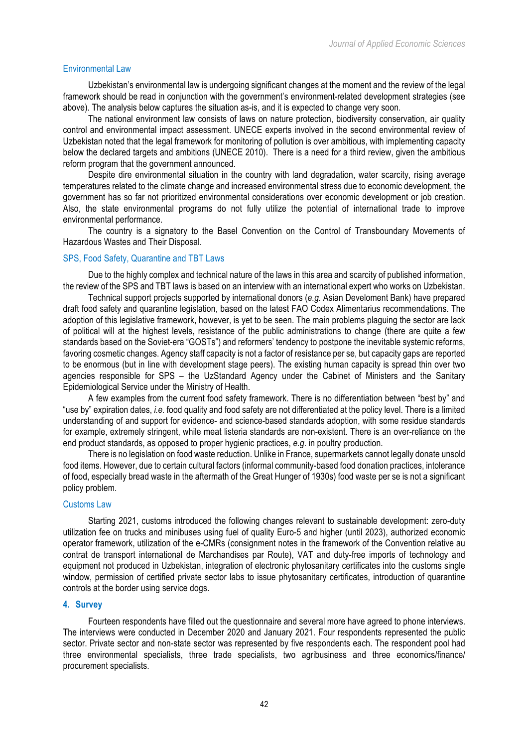## Environmental Law

Uzbekistan's environmental law is undergoing significant changes at the moment and the review of the legal framework should be read in conjunction with the government's environment-related development strategies (see above). The analysis below captures the situation as-is, and it is expected to change very soon.

The national environment law consists of laws on nature protection, biodiversity conservation, air quality control and environmental impact assessment. UNECE experts involved in the second environmental review of Uzbekistan noted that the legal framework for monitoring of pollution is over ambitious, with implementing capacity below the declared targets and ambitions (UNECE 2010). There is a need for a third review, given the ambitious reform program that the government announced.

Despite dire environmental situation in the country with land degradation, water scarcity, rising average temperatures related to the climate change and increased environmental stress due to economic development, the government has so far not prioritized environmental considerations over economic development or job creation. Also, the state environmental programs do not fully utilize the potential of international trade to improve environmental performance.

The country is a signatory to the Basel Convention on the Control of Transboundary Movements of Hazardous Wastes and Their Disposal.

## SPS, Food Safety, Quarantine and TBT Laws

Due to the highly complex and technical nature of the laws in this area and scarcity of published information, the review of the SPS and TBT laws is based on an interview with an international expert who works on Uzbekistan.

Technical support projects supported by international donors (*e.g.* Asian Develoment Bank) have prepared draft food safety and quarantine legislation, based on the latest FAO Codex Alimentarius recommendations. The adoption of this legislative framework, however, is yet to be seen. The main problems plaguing the sector are lack of political will at the highest levels, resistance of the public administrations to change (there are quite a few standards based on the Soviet-era "GOSTs") and reformers' tendency to postpone the inevitable systemic reforms, favoring cosmetic changes. Agency staff capacity is not a factor of resistance per se, but capacity gaps are reported to be enormous (but in line with development stage peers). The existing human capacity is spread thin over two agencies responsible for SPS – the UzStandard Agency under the Cabinet of Ministers and the Sanitary Epidemiological Service under the Ministry of Health.

A few examples from the current food safety framework. There is no differentiation between "best by" and "use by" expiration dates, *i.e.* food quality and food safety are not differentiated at the policy level. There is a limited understanding of and support for evidence- and science-based standards adoption, with some residue standards for example, extremely stringent, while meat listeria standards are non-existent. There is an over-reliance on the end product standards, as opposed to proper hygienic practices, *e.g*. in poultry production.

There is no legislation on food waste reduction. Unlike in France, supermarkets cannot legally donate unsold food items. However, due to certain cultural factors (informal community-based food donation practices, intolerance of food, especially bread waste in the aftermath of the Great Hunger of 1930s) food waste per se is not a significant policy problem.

## Customs Law

Starting 2021, customs introduced the following changes relevant to sustainable development: zero-duty utilization fee on trucks and minibuses using fuel of quality Euro-5 and higher (until 2023), authorized economic operator framework, utilization of the e-CMRs (consignment notes in the framework of the Convention relative au contrat de transport international de Marchandises par Route), VAT and duty-free imports of technology and equipment not produced in Uzbekistan, integration of electronic phytosanitary certificates into the customs single window, permission of certified private sector labs to issue phytosanitary certificates, introduction of quarantine controls at the border using service dogs.

### **4. Survey**

Fourteen respondents have filled out the questionnaire and several more have agreed to phone interviews. The interviews were conducted in December 2020 and January 2021. Four respondents represented the public sector. Private sector and non-state sector was represented by five respondents each. The respondent pool had three environmental specialists, three trade specialists, two agribusiness and three economics/finance/ procurement specialists.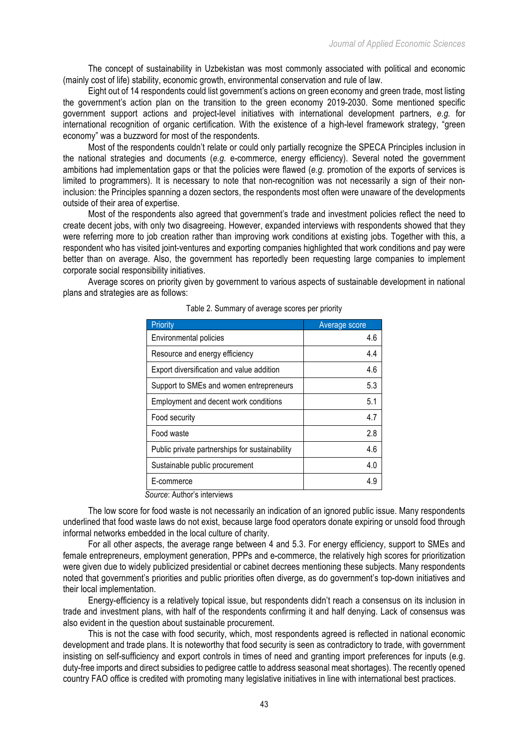The concept of sustainability in Uzbekistan was most commonly associated with political and economic (mainly cost of life) stability, economic growth, environmental conservation and rule of law.

Eight out of 14 respondents could list government's actions on green economy and green trade, most listing the government's action plan on the transition to the green economy 2019-2030. Some mentioned specific government support actions and project-level initiatives with international development partners, *e.g.* for international recognition of organic certification. With the existence of a high-level framework strategy, "green economy" was a buzzword for most of the respondents.

Most of the respondents couldn't relate or could only partially recognize the SPECA Principles inclusion in the national strategies and documents (*e.g.* e-commerce, energy efficiency). Several noted the government ambitions had implementation gaps or that the policies were flawed (*e.g.* promotion of the exports of services is limited to programmers). It is necessary to note that non-recognition was not necessarily a sign of their noninclusion: the Principles spanning a dozen sectors, the respondents most often were unaware of the developments outside of their area of expertise.

Most of the respondents also agreed that government's trade and investment policies reflect the need to create decent jobs, with only two disagreeing. However, expanded interviews with respondents showed that they were referring more to job creation rather than improving work conditions at existing jobs. Together with this, a respondent who has visited joint-ventures and exporting companies highlighted that work conditions and pay were better than on average. Also, the government has reportedly been requesting large companies to implement corporate social responsibility initiatives.

Average scores on priority given by government to various aspects of sustainable development in national plans and strategies are as follows:

| Priority                                       | Average score |
|------------------------------------------------|---------------|
| Environmental policies                         | 4.6           |
| Resource and energy efficiency                 | 4.4           |
| Export diversification and value addition      | 4.6           |
| Support to SMEs and women entrepreneurs        | 5.3           |
| Employment and decent work conditions          | 5.1           |
| Food security                                  | 4.7           |
| Food waste                                     | 2.8           |
| Public private partnerships for sustainability | 4.6           |
| Sustainable public procurement                 | 4.0           |
| E-commerce                                     | 4.9           |

| Table 2. Summary of average scores per priority |  |  |  |  |
|-------------------------------------------------|--|--|--|--|
|                                                 |  |  |  |  |

*Source*: Author's interviews

The low score for food waste is not necessarily an indication of an ignored public issue. Many respondents underlined that food waste laws do not exist, because large food operators donate expiring or unsold food through informal networks embedded in the local culture of charity.

For all other aspects, the average range between 4 and 5.3. For energy efficiency, support to SMEs and female entrepreneurs, employment generation, PPPs and e-commerce, the relatively high scores for prioritization were given due to widely publicized presidential or cabinet decrees mentioning these subjects. Many respondents noted that government's priorities and public priorities often diverge, as do government's top-down initiatives and their local implementation.

Energy-efficiency is a relatively topical issue, but respondents didn't reach a consensus on its inclusion in trade and investment plans, with half of the respondents confirming it and half denying. Lack of consensus was also evident in the question about sustainable procurement.

This is not the case with food security, which, most respondents agreed is reflected in national economic development and trade plans. It is noteworthy that food security is seen as contradictory to trade, with government insisting on self-sufficiency and export controls in times of need and granting import preferences for inputs (e.g. duty-free imports and direct subsidies to pedigree cattle to address seasonal meat shortages). The recently opened country FAO office is credited with promoting many legislative initiatives in line with international best practices.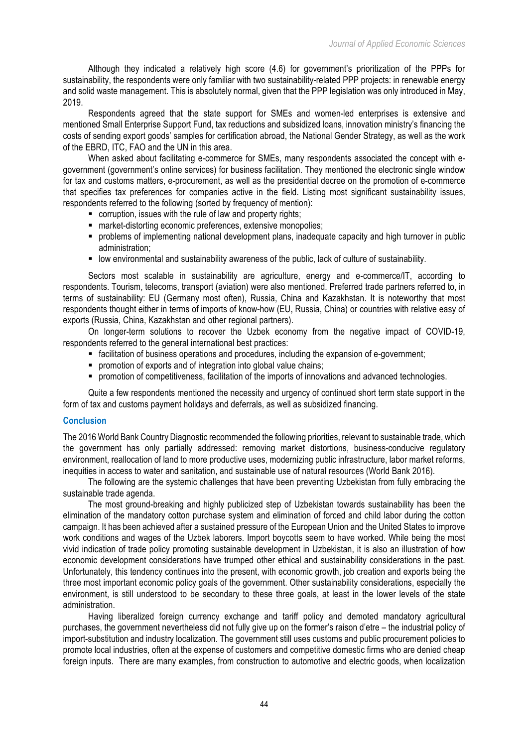Although they indicated a relatively high score (4.6) for government's prioritization of the PPPs for sustainability, the respondents were only familiar with two sustainability-related PPP projects: in renewable energy and solid waste management. This is absolutely normal, given that the PPP legislation was only introduced in May, 2019.

Respondents agreed that the state support for SMEs and women-led enterprises is extensive and mentioned Small Enterprise Support Fund, tax reductions and subsidized loans, innovation ministry's financing the costs of sending export goods' samples for certification abroad, the National Gender Strategy, as well as the work of the EBRD, ITC, FAO and the UN in this area.

When asked about facilitating e-commerce for SMEs, many respondents associated the concept with egovernment (government's online services) for business facilitation. They mentioned the electronic single window for tax and customs matters, e-procurement, as well as the presidential decree on the promotion of e-commerce that specifies tax preferences for companies active in the field. Listing most significant sustainability issues, respondents referred to the following (sorted by frequency of mention):

- corruption, issues with the rule of law and property rights;
- market-distorting economic preferences, extensive monopolies;
- § problems of implementing national development plans, inadequate capacity and high turnover in public administration;
- low environmental and sustainability awareness of the public, lack of culture of sustainability.

Sectors most scalable in sustainability are agriculture, energy and e-commerce/IT, according to respondents. Tourism, telecoms, transport (aviation) were also mentioned. Preferred trade partners referred to, in terms of sustainability: EU (Germany most often), Russia, China and Kazakhstan. It is noteworthy that most respondents thought either in terms of imports of know-how (EU, Russia, China) or countries with relative easy of exports (Russia, China, Kazakhstan and other regional partners).

On longer-term solutions to recover the Uzbek economy from the negative impact of COVID-19, respondents referred to the general international best practices:

- facilitation of business operations and procedures, including the expansion of e-government;
- promotion of exports and of integration into global value chains;
- § promotion of competitiveness, facilitation of the imports of innovations and advanced technologies.

Quite a few respondents mentioned the necessity and urgency of continued short term state support in the form of tax and customs payment holidays and deferrals, as well as subsidized financing.

### **Conclusion**

The 2016 World Bank Country Diagnostic recommended the following priorities, relevant to sustainable trade, which the government has only partially addressed: removing market distortions, business-conducive regulatory environment, reallocation of land to more productive uses, modernizing public infrastructure, labor market reforms, inequities in access to water and sanitation, and sustainable use of natural resources (World Bank 2016).

The following are the systemic challenges that have been preventing Uzbekistan from fully embracing the sustainable trade agenda.

The most ground-breaking and highly publicized step of Uzbekistan towards sustainability has been the elimination of the mandatory cotton purchase system and elimination of forced and child labor during the cotton campaign. It has been achieved after a sustained pressure of the European Union and the United States to improve work conditions and wages of the Uzbek laborers. Import boycotts seem to have worked. While being the most vivid indication of trade policy promoting sustainable development in Uzbekistan, it is also an illustration of how economic development considerations have trumped other ethical and sustainability considerations in the past. Unfortunately, this tendency continues into the present, with economic growth, job creation and exports being the three most important economic policy goals of the government. Other sustainability considerations, especially the environment, is still understood to be secondary to these three goals, at least in the lower levels of the state administration.

Having liberalized foreign currency exchange and tariff policy and demoted mandatory agricultural purchases, the government nevertheless did not fully give up on the former's raison d'etre – the industrial policy of import-substitution and industry localization. The government still uses customs and public procurement policies to promote local industries, often at the expense of customers and competitive domestic firms who are denied cheap foreign inputs. There are many examples, from construction to automotive and electric goods, when localization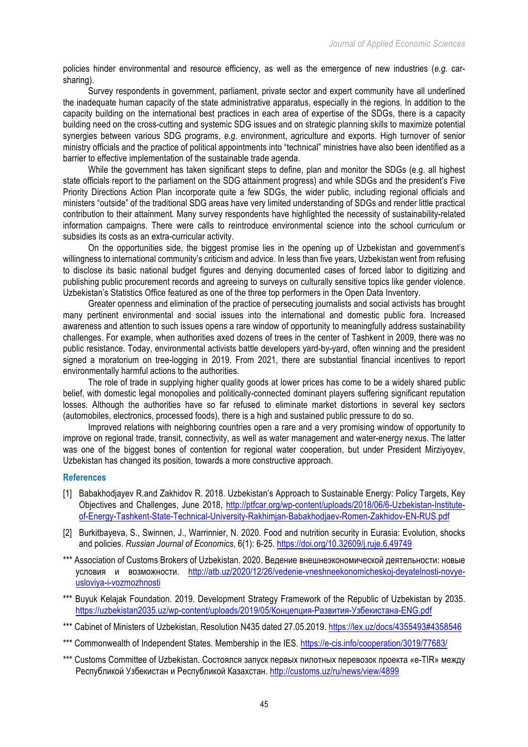policies hinder environmental and resource efficiency, as well as the emergence of new industries (*e.g.* carsharing).

Survey respondents in government, parliament, private sector and expert community have all underlined the inadequate human capacity of the state administrative apparatus, especially in the regions. In addition to the capacity building on the international best practices in each area of expertise of the SDGs, there is a capacity building need on the cross-cutting and systemic SDG issues and on strategic planning skills to maximize potential synergies between various SDG programs, *e.g.* environment, agriculture and exports. High turnover of senior ministry officials and the practice of political appointments into "technical" ministries have also been identified as a barrier to effective implementation of the sustainable trade agenda.

While the government has taken significant steps to define, plan and monitor the SDGs (e.g. all highest state officials report to the parliament on the SDG attainment progress) and while SDGs and the president's Five Priority Directions Action Plan incorporate quite a few SDGs, the wider public, including regional officials and ministers "outside" of the traditional SDG areas have very limited understanding of SDGs and render little practical contribution to their attainment. Many survey respondents have highlighted the necessity of sustainability-related information campaigns. There were calls to reintroduce environmental science into the school curriculum or subsidies its costs as an extra-curricular activity.

On the opportunities side, the biggest promise lies in the opening up of Uzbekistan and government's willingness to international community's criticism and advice. In less than five years, Uzbekistan went from refusing to disclose its basic national budget figures and denying documented cases of forced labor to digitizing and publishing public procurement records and agreeing to surveys on culturally sensitive topics like gender violence. Uzbekistan's Statistics Office featured as one of the three top performers in the Open Data Inventory.

Greater openness and elimination of the practice of persecuting journalists and social activists has brought many pertinent environmental and social issues into the international and domestic public fora. Increased awareness and attention to such issues opens a rare window of opportunity to meaningfully address sustainability challenges. For example, when authorities axed dozens of trees in the center of Tashkent in 2009, there was no public resistance. Today, environmental activists battle developers yard-by-yard, often winning and the president signed a moratorium on tree-logging in 2019. From 2021, there are substantial financial incentives to report environmentally harmful actions to the authorities.

The role of trade in supplying higher quality goods at lower prices has come to be a widely shared public belief, with domestic legal monopolies and politically-connected dominant players suffering significant reputation losses. Although the authorities have so far refused to eliminate market distortions in several key sectors (automobiles, electronics, processed foods), there is a high and sustained public pressure to do so.

Improved relations with neighboring countries open a rare and a very promising window of opportunity to improve on regional trade, transit, connectivity, as well as water management and water-energy nexus. The latter was one of the biggest bones of contention for regional water cooperation, but under President Mirziyoyev, Uzbekistan has changed its position, towards a more constructive approach.

# **References**

- [1] Babakhodjayev R.and Zakhidov R. 2018. Uzbekistan's Approach to Sustainable Energy: Policy Targets, Key Objectives and Challenges, June 2018, http://ptfcar.org/wp-content/uploads/2018/06/6-Uzbekistan-Instituteof-Energy-Tashkent-State-Technical-University-Rakhimjan-Babakhodjaev-Romen-Zakhidov-EN-RUS.pdf
- [2] Burkitbayeva, S., Swinnen, J., Warrinnier, N. 2020. Food and nutrition security in Eurasia: Evolution, shocks and policies. *Russian Journal of Economics*, 6(1): 6-25. https://doi.org/10.32609/j.ruje.6.49749
- \*\*\* Association of Customs Brokers of Uzbekistan. 2020. Ведение внешнеэкономической деятельности: новые условия и возможности. http://atb.uz/2020/12/26/vedenie-vneshneekonomicheskoj-deyatelnosti-novyeusloviya-i-vozmozhnosti
- \*\*\* Buyuk Kelajak Foundation. 2019. Development Strategy Framework of the Republic of Uzbekistan by 2035. https://uzbekistan2035.uz/wp-content/uploads/2019/05/Концепция-Развития-Узбекистана-ENG.pdf
- \*\*\* Cabinet of Ministers of Uzbekistan, Resolution N435 dated 27.05.2019. https://lex.uz/docs/4355493#4358546
- \*\*\* Commonwealth of Independent States. Membership in the IES. https://e-cis.info/cooperation/3019/77683/
- \*\*\* Customs Committee of Uzbekistan. Состоялся запуск первых пилотных перевозок проекта «e-TIR» между Республикой Узбекистан и Республикой Казахстан. http://customs.uz/ru/news/view/4899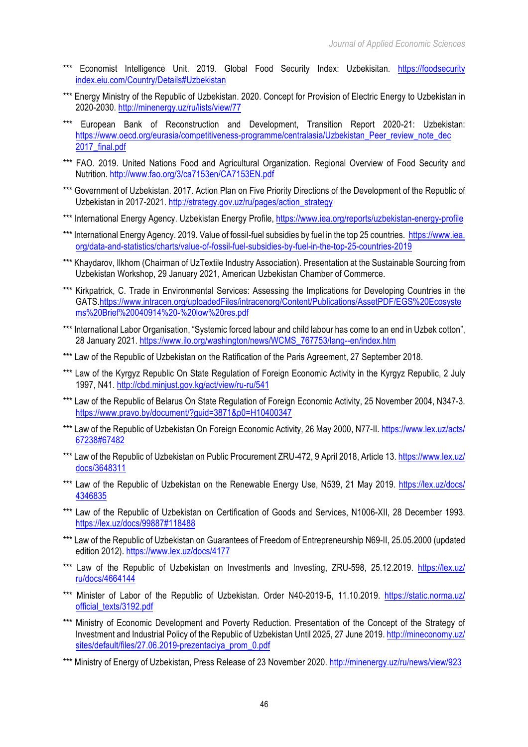- \*\*\* Economist Intelligence Unit. 2019. Global Food Security Index: Uzbekisitan. https://foodsecurity index.eiu.com/Country/Details#Uzbekistan
- \*\*\* Energy Ministry of the Republic of Uzbekistan. 2020. Concept for Provision of Electric Energy to Uzbekistan in 2020-2030. http://minenergy.uz/ru/lists/view/77
- \*\*\* European Bank of Reconstruction and Development, Transition Report 2020-21: Uzbekistan: https://www.oecd.org/eurasia/competitiveness-programme/centralasia/Uzbekistan\_Peer\_review\_note\_dec 2017\_final.pdf
- \*\*\* FAO. 2019. United Nations Food and Agricultural Organization. Regional Overview of Food Security and Nutrition. http://www.fao.org/3/ca7153en/CA7153EN.pdf
- \*\*\* Government of Uzbekistan. 2017. Action Plan on Five Priority Directions of the Development of the Republic of Uzbekistan in 2017-2021. http://strategy.gov.uz/ru/pages/action\_strategy
- \*\*\* International Energy Agency. Uzbekistan Energy Profile, https://www.iea.org/reports/uzbekistan-energy-profile
- \*\*\* International Energy Agency. 2019. Value of fossil-fuel subsidies by fuel in the top 25 countries. https://www.iea. org/data-and-statistics/charts/value-of-fossil-fuel-subsidies-by-fuel-in-the-top-25-countries-2019
- \*\*\* Khaydarov, Ilkhom (Chairman of UzTextile Industry Association). Presentation at the Sustainable Sourcing from Uzbekistan Workshop, 29 January 2021, American Uzbekistan Chamber of Commerce.
- \*\*\* Kirkpatrick, C. Trade in Environmental Services: Assessing the Implications for Developing Countries in the GATS.https://www.intracen.org/uploadedFiles/intracenorg/Content/Publications/AssetPDF/EGS%20Ecosyste ms%20Brief%20040914%20-%20low%20res.pdf
- \*\*\* International Labor Organisation, "Systemic forced labour and child labour has come to an end in Uzbek cotton", 28 January 2021. https://www.ilo.org/washington/news/WCMS\_767753/lang--en/index.htm
- \*\*\* Law of the Republic of Uzbekistan on the Ratification of the Paris Agreement, 27 September 2018.
- \*\*\* Law of the Kyrgyz Republic On State Regulation of Foreign Economic Activity in the Kyrgyz Republic, 2 July 1997, N41. http://cbd.minjust.gov.kg/act/view/ru-ru/541
- \*\*\* Law of the Republic of Belarus On State Regulation of Foreign Economic Activity, 25 November 2004, N347-3. https://www.pravo.by/document/?guid=3871&p0=H10400347
- \*\*\* Law of the Republic of Uzbekistan On Foreign Economic Activity, 26 May 2000, N77-II. https://www.lex.uz/acts/ 67238#67482
- \*\*\* Law of the Republic of Uzbekistan on Public Procurement ZRU-472, 9 April 2018, Article 13. https://www.lex.uz/ docs/3648311
- \*\*\* Law of the Republic of Uzbekistan on the Renewable Energy Use, N539, 21 May 2019. https://lex.uz/docs/ 4346835
- \*\*\* Law of the Republic of Uzbekistan on Certification of Goods and Services, N1006-XII, 28 December 1993. https://lex.uz/docs/99887#118488
- \*\*\* Law of the Republic of Uzbekistan on Guarantees of Freedom of Entrepreneurship N69-II, 25.05.2000 (updated edition 2012). https://www.lex.uz/docs/4177
- \*\*\* Law of the Republic of Uzbekistan on Investments and Investing, ZRU-598, 25.12.2019. https://lex.uz/ ru/docs/4664144
- \*\*\* Minister of Labor of the Republic of Uzbekistan. Order N40-2019-6, 11.10.2019. https://static.norma.uz/ official\_texts/3192.pdf
- \*\*\* Ministry of Economic Development and Poverty Reduction. Presentation of the Concept of the Strategy of Investment and Industrial Policy of the Republic of Uzbekistan Until 2025, 27 June 2019. http://mineconomy.uz/ sites/default/files/27.06.2019-prezentaciya\_prom\_0.pdf
- \*\*\* Ministry of Energy of Uzbekistan, Press Release of 23 November 2020, http://minenergy.uz/ru/news/view/923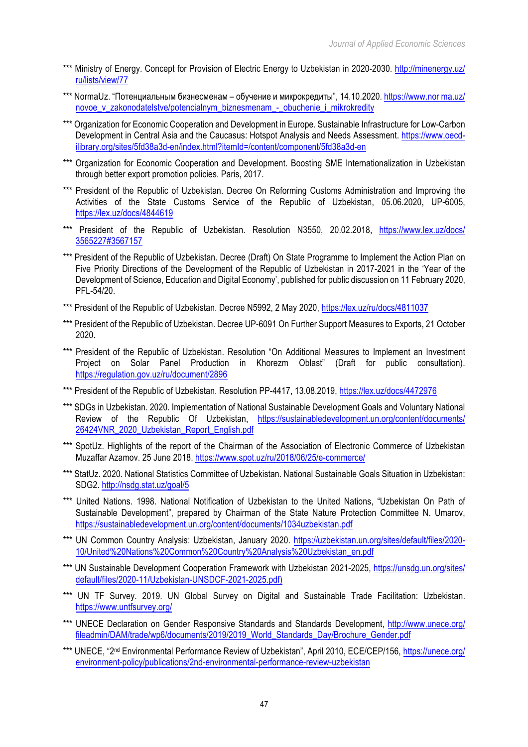- \*\*\* Ministry of Energy. Concept for Provision of Electric Energy to Uzbekistan in 2020-2030. http://minenergy.uz/ ru/lists/view/77
- \*\*\* NormaUz. "Потенциальным бизнесменам обучение и микрокредиты", 14.10.2020. https://www.nor ma.uz/ novoe\_v\_zakonodatelstve/potencialnym\_biznesmenam\_-\_obuchenie\_i\_mikrokredity
- \*\*\* Organization for Economic Cooperation and Development in Europe. Sustainable Infrastructure for Low-Carbon Development in Central Asia and the Caucasus: Hotspot Analysis and Needs Assessment. https://www.oecdilibrary.org/sites/5fd38a3d-en/index.html?itemId=/content/component/5fd38a3d-en
- \*\*\* Organization for Economic Cooperation and Development. Boosting SME Internationalization in Uzbekistan through better export promotion policies. Paris, 2017.
- \*\*\* President of the Republic of Uzbekistan. Decree On Reforming Customs Administration and Improving the Activities of the State Customs Service of the Republic of Uzbekistan, 05.06.2020, UP-6005, https://lex.uz/docs/4844619
- \*\*\* President of the Republic of Uzbekistan. Resolution N3550, 20.02.2018, https://www.lex.uz/docs/ 3565227#3567157
- \*\*\* President of the Republic of Uzbekistan. Decree (Draft) On State Programme to Implement the Action Plan on Five Priority Directions of the Development of the Republic of Uzbekistan in 2017-2021 in the 'Year of the Development of Science, Education and Digital Economy', published for public discussion on 11 February 2020, PFL-54/20.
- \*\*\* President of the Republic of Uzbekistan. Decree N5992, 2 May 2020, https://lex.uz/ru/docs/4811037
- \*\*\* President of the Republic of Uzbekistan. Decree UP-6091 On Further Support Measures to Exports, 21 October 2020.
- \*\*\* President of the Republic of Uzbekistan. Resolution "On Additional Measures to Implement an Investment Project on Solar Panel Production in Khorezm Oblast" (Draft for public consultation). https://regulation.gov.uz/ru/document/2896
- \*\*\* President of the Republic of Uzbekistan. Resolution PP-4417, 13.08.2019, https://lex.uz/docs/4472976
- \*\*\* SDGs in Uzbekistan. 2020. Implementation of National Sustainable Development Goals and Voluntary National Review of the Republic Of Uzbekistan, https://sustainabledevelopment.un.org/content/documents/ 26424VNR\_2020\_Uzbekistan\_Report\_English.pdf
- \*\*\* SpotUz. Highlights of the report of the Chairman of the Association of Electronic Commerce of Uzbekistan Muzaffar Azamov. 25 June 2018. https://www.spot.uz/ru/2018/06/25/e-commerce/
- \*\*\* StatUz. 2020. National Statistics Committee of Uzbekistan. National Sustainable Goals Situation in Uzbekistan: SDG2. http://nsdg.stat.uz/goal/5
- \*\*\* United Nations. 1998. National Notification of Uzbekistan to the United Nations, "Uzbekistan On Path of Sustainable Development", prepared by Chairman of the State Nature Protection Committee N. Umarov, https://sustainabledevelopment.un.org/content/documents/1034uzbekistan.pdf
- \*\*\* UN Common Country Analysis: Uzbekistan, January 2020, https://uzbekistan.un.org/sites/default/files/2020-10/United%20Nations%20Common%20Country%20Analysis%20Uzbekistan\_en.pdf
- \*\*\* UN Sustainable Development Cooperation Framework with Uzbekistan 2021-2025, https://unsdg.un.org/sites/ default/files/2020-11/Uzbekistan-UNSDCF-2021-2025.pdf)
- \*\*\* UN TF Survey. 2019. UN Global Survey on Digital and Sustainable Trade Facilitation: Uzbekistan. https://www.untfsurvey.org/
- \*\*\* UNECE Declaration on Gender Responsive Standards and Standards Development, http://www.unece.org/ fileadmin/DAM/trade/wp6/documents/2019/2019\_World\_Standards\_Day/Brochure\_Gender.pdf
- \*\*\* UNECE, "2<sup>nd</sup> Environmental Performance Review of Uzbekistan", April 2010, ECE/CEP/156, https://unece.org/ environment-policy/publications/2nd-environmental-performance-review-uzbekistan